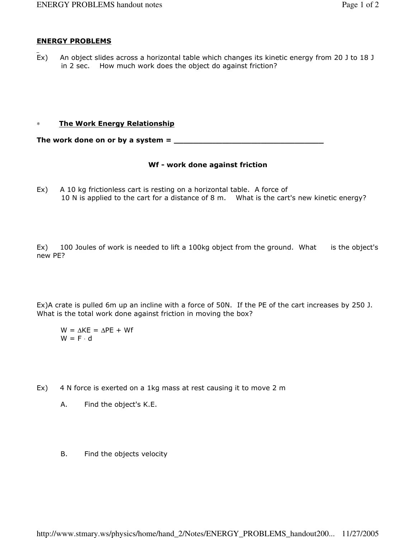## ENERGY PROBLEMS

Ex) An object slides across a horizontal table which changes its kinetic energy from 20 J to 18 J in 2 sec. How much work does the object do against friction?

## ∗ The Work Energy Relationship

The work done on or by a system = \_\_\_\_\_\_\_\_\_\_\_\_\_\_\_\_\_\_\_\_\_\_\_\_\_\_\_\_\_\_\_

## Wf - work done against friction

Ex) A 10 kg frictionless cart is resting on a horizontal table. A force of 10 N is applied to the cart for a distance of 8 m. What is the cart's new kinetic energy?

Ex) 100 Joules of work is needed to lift a 100kg object from the ground. What is the object's new PE?

Ex)A crate is pulled 6m up an incline with a force of 50N. If the PE of the cart increases by 250 J. What is the total work done against friction in moving the box?

 $W = \Delta KE = \Delta PE + WF$  $W = F \cdot d$ 

- Ex) 4 N force is exerted on a 1kg mass at rest causing it to move 2 m
	- A. Find the object's K.E.
	- B. Find the objects velocity